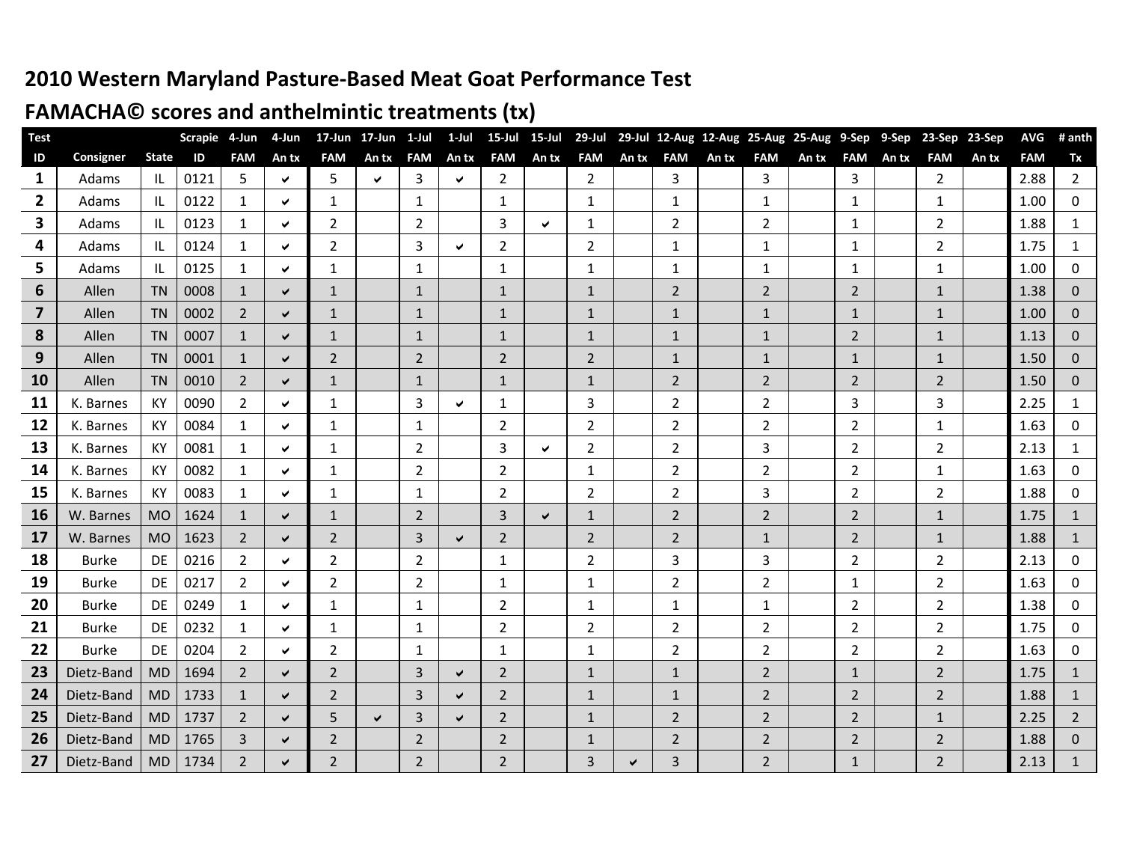# **2010 Western Maryland Pasture-Based Meat Goat Performance Test**

## **FAMACHA© scores and anthelmintic treatments (tx)**

| <b>Test</b>             |              |              | <b>Scrapie</b> | 4-Jun          | 4-Jun | 17-Jun         | 17-Jun       | $1-Jul$        | 1-Jul        | $15$ -Jul      | 15-Jul |                |              |                |       | 29-Jul 29-Jul 12-Aug 12-Aug 25-Aug 25-Aug 9-Sep 9-Sep |       |                |       | 23-Sep 23-Sep  |       | <b>AVG</b> | # anth         |
|-------------------------|--------------|--------------|----------------|----------------|-------|----------------|--------------|----------------|--------------|----------------|--------|----------------|--------------|----------------|-------|-------------------------------------------------------|-------|----------------|-------|----------------|-------|------------|----------------|
| $\mathsf{ID}$           | Consigner    | <b>State</b> | ID             | <b>FAM</b>     | An tx | <b>FAM</b>     | An tx        | <b>FAM</b>     | An tx        | <b>FAM</b>     | An tx  | <b>FAM</b>     | An tx        | <b>FAM</b>     | An tx | <b>FAM</b>                                            | An tx | <b>FAM</b>     | An tx | <b>FAM</b>     | An tx | <b>FAM</b> | Tx             |
| $\mathbf{1}$            | Adams        | IL           | 0121           | 5              | ✔     | 5              | $\checkmark$ | $\overline{3}$ | $\checkmark$ | 2              |        | 2              |              | $\overline{3}$ |       | $\overline{3}$                                        |       | $\overline{3}$ |       | $\overline{2}$ |       | 2.88       | $\overline{2}$ |
| $\overline{2}$          | Adams        | IL           | 0122           | $\mathbf{1}$   | ✔     | 1              |              | 1              |              | 1              |        | 1              |              | $\mathbf{1}$   |       | $\mathbf{1}$                                          |       | $\mathbf{1}$   |       | 1              |       | 1.00       | 0              |
| $\overline{\mathbf{3}}$ | Adams        | IL           | 0123           | $\mathbf{1}$   | ✓     | 2              |              | $\overline{2}$ |              | 3              | ✓      | 1              |              | $\overline{2}$ |       | $\overline{2}$                                        |       | $\mathbf{1}$   |       | $\overline{2}$ |       | 1.88       | $\mathbf{1}$   |
| 4                       | Adams        | ΙL           | 0124           | $\mathbf{1}$   | ✔     | $\overline{2}$ |              | $\overline{3}$ | $\checkmark$ | 2              |        | $\overline{2}$ |              | 1              |       | $\mathbf{1}$                                          |       | $\mathbf{1}$   |       | $2^{\circ}$    |       | 1.75       | $\mathbf{1}$   |
| 5                       | Adams        | ΙL           | 0125           | $\mathbf{1}$   | ✓     | 1              |              | $\mathbf 1$    |              | $\mathbf{1}$   |        | $\mathbf{1}$   |              | $\mathbf{1}$   |       | $\mathbf{1}$                                          |       | $\mathbf{1}$   |       | $\mathbf{1}$   |       | 1.00       | $\pmb{0}$      |
| $6\phantom{1}$          | Allen        | <b>TN</b>    | 0008           | $\mathbf{1}$   | ✔     | $\mathbf{1}$   |              | $\mathbf{1}$   |              | $\mathbf{1}$   |        | $\mathbf{1}$   |              | $\overline{2}$ |       | $2^{\circ}$                                           |       | $\overline{2}$ |       | $\mathbf{1}$   |       | 1.38       | $\pmb{0}$      |
| $\overline{\mathbf{z}}$ | Allen        | <b>TN</b>    | 0002           | $\overline{2}$ | ✔     | $\mathbf{1}$   |              | $\mathbf{1}$   |              | $\mathbf{1}$   |        | $\mathbf{1}$   |              | $\mathbf{1}$   |       | $\mathbf{1}$                                          |       | $\mathbf{1}$   |       | $\mathbf{1}$   |       | 1.00       | $\mathbf{0}$   |
| 8                       | Allen        | <b>TN</b>    | 0007           | $\mathbf{1}$   | ✔     | 1              |              | $\mathbf{1}$   |              | $\mathbf{1}$   |        | $\mathbf{1}$   |              | $\mathbf{1}$   |       | $\mathbf{1}$                                          |       | $\overline{2}$ |       | $\mathbf{1}$   |       | 1.13       | $\mathbf{0}$   |
| 9                       | Allen        | <b>TN</b>    | 0001           | $\mathbf{1}$   | ✔     | 2              |              | $\overline{2}$ |              | 2              |        | 2              |              | $\mathbf{1}$   |       | $\mathbf{1}$                                          |       | $\mathbf{1}$   |       | $\mathbf{1}$   |       | 1.50       | $\mathbf{0}$   |
| 10                      | Allen        | <b>TN</b>    | 0010           | $\overline{2}$ | ✔     | $\mathbf{1}$   |              | $\mathbf{1}$   |              | $\mathbf{1}$   |        | $\mathbf{1}$   |              | $\overline{2}$ |       | $\overline{2}$                                        |       | $\overline{2}$ |       | $\overline{2}$ |       | 1.50       | $\mathbf{0}$   |
| 11                      | K. Barnes    | КY           | 0090           | $\overline{2}$ | ✔     | 1              |              | 3              | $\checkmark$ | 1              |        | 3              |              | 2              |       | $\mathbf{2}$                                          |       | 3              |       | 3              |       | 2.25       | 1              |
| 12                      | K. Barnes    | KY           | 0084           | $\mathbf{1}$   | ✔     | 1              |              | 1              |              | $\overline{2}$ |        | 2              |              | 2              |       | $\mathbf{2}$                                          |       | $\overline{2}$ |       | $\mathbf{1}$   |       | 1.63       | $\pmb{0}$      |
| 13                      | K. Barnes    | <b>KY</b>    | 0081           | $\mathbf{1}$   | ✔     | 1              |              | 2              |              | 3              | ✔      | $\overline{2}$ |              | $\overline{2}$ |       | 3                                                     |       | $\overline{2}$ |       | $\overline{2}$ |       | 2.13       | $\mathbf{1}$   |
| 14                      | K. Barnes    | KY           | 0082           | $\mathbf{1}$   | ✔     | 1              |              | 2              |              | $\overline{2}$ |        | $\mathbf{1}$   |              | $\overline{2}$ |       | $\overline{2}$                                        |       | $\overline{2}$ |       | $\mathbf{1}$   |       | 1.63       | 0              |
| 15                      | K. Barnes    | KY           | 0083           | $\mathbf{1}$   | ✓     | $\mathbf{1}$   |              | $\mathbf{1}$   |              | $\overline{2}$ |        | $\overline{2}$ |              | $\overline{2}$ |       | 3                                                     |       | $\overline{2}$ |       | $\overline{2}$ |       | 1.88       | 0              |
| 16                      | W. Barnes    | <b>MO</b>    | 1624           | $\mathbf{1}$   | ✔     | $\mathbf{1}$   |              | $\overline{2}$ |              | 3              | ✔      | $\mathbf{1}$   |              | $\overline{2}$ |       | $2^{\circ}$                                           |       | $\overline{2}$ |       | $\mathbf{1}$   |       | 1.75       | $\mathbf{1}$   |
| 17                      | W. Barnes    | <b>MO</b>    | 1623           | $\overline{2}$ | ✔     | $\overline{2}$ |              | $\overline{3}$ | ✓            | $\overline{2}$ |        | $\overline{2}$ |              | $\overline{2}$ |       | $\mathbf{1}$                                          |       | $\overline{2}$ |       | $\mathbf{1}$   |       | 1.88       | $\mathbf{1}$   |
| 18                      | <b>Burke</b> | DE           | 0216           | $\overline{2}$ | ✔     | 2              |              | $\overline{2}$ |              | 1              |        | $\overline{2}$ |              | 3              |       | 3                                                     |       | $\overline{2}$ |       | $\overline{2}$ |       | 2.13       | 0              |
| 19                      | <b>Burke</b> | DE           | 0217           | $\overline{2}$ | ✔     | $\overline{2}$ |              | $\overline{2}$ |              | 1              |        | 1              |              | $\overline{2}$ |       | $\overline{2}$                                        |       | 1              |       | $\overline{2}$ |       | 1.63       | $\pmb{0}$      |
| 20                      | <b>Burke</b> | DE           | 0249           | $\mathbf{1}$   | ✔     | 1              |              | 1              |              | 2              |        | $\mathbf{1}$   |              | 1              |       | $\mathbf{1}$                                          |       | $\overline{2}$ |       | $\overline{2}$ |       | 1.38       | 0              |
| 21                      | <b>Burke</b> | DE           | 0232           | $\mathbf{1}$   | ✔     | 1              |              | 1              |              | $\overline{2}$ |        | 2              |              | $\overline{2}$ |       | $\mathbf{2}$                                          |       | $\overline{2}$ |       | $\overline{2}$ |       | 1.75       | 0              |
| 22                      | <b>Burke</b> | DE           | 0204           | $\overline{2}$ | ✔     | $\overline{2}$ |              | 1              |              | 1              |        | 1              |              | 2              |       | $\mathbf{2}$                                          |       | $\overline{2}$ |       | $\overline{2}$ |       | 1.63       | 0              |
| 23                      | Dietz-Band   | <b>MD</b>    | 1694           | $\overline{2}$ | ✔     | 2              |              | 3              | $\checkmark$ | $\overline{2}$ |        | $\mathbf{1}$   |              | $\mathbf{1}$   |       | $\overline{2}$                                        |       | $\mathbf{1}$   |       | $\overline{2}$ |       | 1.75       | $\mathbf{1}$   |
| 24                      | Dietz-Band   | <b>MD</b>    | 1733           | $\mathbf{1}$   | ✔     | $\overline{2}$ |              | 3              | ✔            | $\overline{2}$ |        | $\mathbf{1}$   |              | $\mathbf{1}$   |       | $2^{\circ}$                                           |       | $\overline{2}$ |       | $\overline{2}$ |       | 1.88       | $\mathbf{1}$   |
| 25                      | Dietz-Band   | <b>MD</b>    | 1737           | $\overline{2}$ | ✔     | 5              | $\checkmark$ | $\overline{3}$ | $\checkmark$ | $\overline{2}$ |        | $\mathbf{1}$   |              | $\overline{2}$ |       | $\overline{2}$                                        |       | $\overline{2}$ |       | $\mathbf{1}$   |       | 2.25       | $\overline{2}$ |
| 26                      | Dietz-Band   | <b>MD</b>    | 1765           | 3              | ✔     | $\overline{2}$ |              | $\overline{2}$ |              | $\overline{2}$ |        | $\mathbf{1}$   |              | $\overline{2}$ |       | $\overline{2}$                                        |       | $\overline{2}$ |       | $\overline{2}$ |       | 1.88       | $\pmb{0}$      |
| 27                      | Dietz-Band   | <b>MD</b>    | 1734           | $\overline{2}$ | ✔     | $\overline{2}$ |              | $\overline{2}$ |              | $\overline{2}$ |        | 3              | $\checkmark$ | 3              |       | $2^{\circ}$                                           |       | $\mathbf{1}$   |       | $\overline{2}$ |       | 2.13       | $\mathbf{1}$   |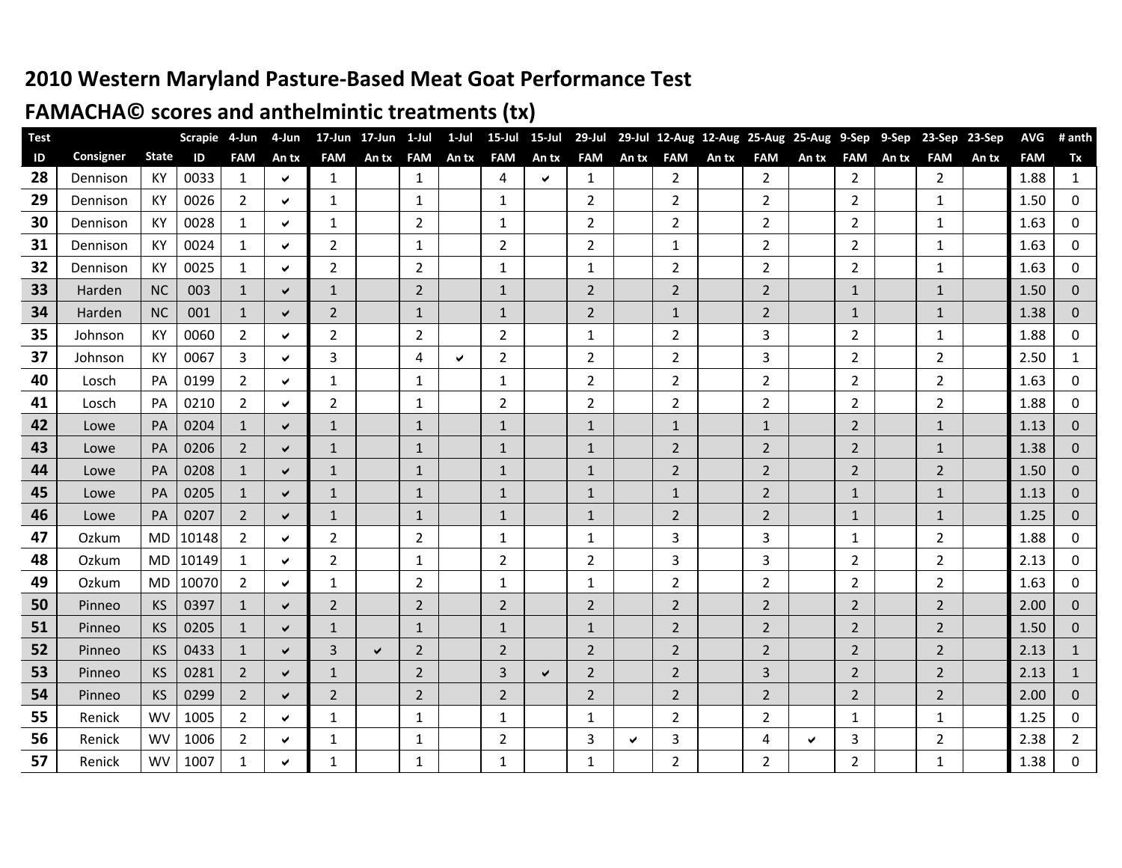### **2010 Western Maryland Pasture-Based Meat Goat Performance Test**

### **FAMACHA© scores and anthelmintic treatments (tx)**

| $\mathsf{ID}$<br>Consigner<br><b>State</b><br><b>FAM</b><br>ID<br><b>FAM</b><br><b>FAM</b><br><b>FAM</b><br><b>FAM</b><br><b>FAM</b><br><b>FAM</b><br><b>FAM</b><br><b>FAM</b><br>An tx<br>An tx<br>An tx<br>An tx<br>An tx<br>An tx<br>An tx<br><b>FAM</b><br>An tx<br>An tx<br>$\overline{2}$<br>$\overline{2}$<br>$\overline{2}$<br>28<br>KY<br>0033<br>$\overline{2}$<br>1.88<br>1<br>1<br>1<br>Dennison<br>4<br>1<br>✓<br>$\checkmark$<br>29<br>$\overline{2}$<br>Dennison<br>KY<br>0026<br>$\overline{2}$<br>2<br>2<br>$\overline{2}$<br>1.50<br>$\mathbf{1}$<br>1<br>1<br>$\mathbf{1}$<br>✔<br>30<br>$\overline{2}$<br>2<br>$\overline{2}$<br>$\overline{2}$<br>1.63<br>0028<br>$\mathbf{1}$<br>$\mathbf{1}$<br>$\overline{2}$<br>$\mathbf{1}$<br>КY<br>1<br>Dennison<br>✓<br>31<br>0024<br>$\overline{2}$<br>KY<br>$\overline{2}$<br>2<br>2<br>$\mathbf{2}$<br>$\mathbf{1}$<br>1.63<br>Dennison<br>1<br>1<br>1<br>✔<br>32<br>0025<br>$\overline{2}$<br>$\overline{2}$<br>$\overline{2}$<br>$\overline{2}$<br>Dennison<br>KY<br>$\mathbf{1}$<br>$\overline{2}$<br>$\mathbf{1}$<br>$\mathbf{1}$<br>$\mathbf{1}$<br>1.63<br>✔<br>33<br>Harden<br><b>NC</b><br>003<br>$\overline{2}$<br>$\overline{2}$<br>$\overline{2}$<br>$\overline{2}$<br>$\mathbf{1}$<br>1.50<br>$\mathbf{1}$<br>$\mathbf{1}$<br>$\mathbf{1}$<br>$\mathbf{1}$<br>✔<br>34<br>001<br>$\overline{2}$<br>$\overline{2}$<br>Harden<br><b>NC</b><br>$\overline{2}$<br>$\mathbf{1}$<br>$\mathbf{1}$<br>$\mathbf{1}$<br>$\mathbf{1}$<br>$\mathbf{1}$<br>1.38<br>$\mathbf{1}$<br>✔<br>35<br>$\overline{2}$<br>KY<br>0060<br>$\overline{2}$<br>$\overline{2}$<br>$\overline{2}$<br>3<br>1.88<br>Johnson<br>$\overline{2}$<br>2<br>$\mathbf{1}$<br>$\mathbf{1}$<br>✔<br>37<br>$\overline{2}$<br>2.50<br>0067<br>3<br>2<br>2<br>$\overline{2}$<br>3<br>$\overline{2}$<br>Johnson<br>KY<br>3<br>4<br>✓<br>✓<br>40<br>$\overline{2}$<br>$\overline{2}$<br>$\overline{2}$<br>PA<br>0199<br>$\overline{2}$<br>2<br>$\overline{2}$<br>1.63<br>Losch<br>1<br>1<br>1<br>✓<br>41<br>$\overline{2}$<br>PA<br>0210<br>$\overline{2}$<br>2<br>2<br>2<br>$\overline{2}$<br>$\overline{2}$<br>$\overline{2}$<br>1.88<br>Losch<br>1<br>✔ | Tx<br>$\mathbf{1}$ |
|-----------------------------------------------------------------------------------------------------------------------------------------------------------------------------------------------------------------------------------------------------------------------------------------------------------------------------------------------------------------------------------------------------------------------------------------------------------------------------------------------------------------------------------------------------------------------------------------------------------------------------------------------------------------------------------------------------------------------------------------------------------------------------------------------------------------------------------------------------------------------------------------------------------------------------------------------------------------------------------------------------------------------------------------------------------------------------------------------------------------------------------------------------------------------------------------------------------------------------------------------------------------------------------------------------------------------------------------------------------------------------------------------------------------------------------------------------------------------------------------------------------------------------------------------------------------------------------------------------------------------------------------------------------------------------------------------------------------------------------------------------------------------------------------------------------------------------------------------------------------------------------------------------------------------------------------------------------------------------------------------------------------------------------------------------------------------------------------------------------------------------------------------------------------------------------------|--------------------|
|                                                                                                                                                                                                                                                                                                                                                                                                                                                                                                                                                                                                                                                                                                                                                                                                                                                                                                                                                                                                                                                                                                                                                                                                                                                                                                                                                                                                                                                                                                                                                                                                                                                                                                                                                                                                                                                                                                                                                                                                                                                                                                                                                                                         |                    |
|                                                                                                                                                                                                                                                                                                                                                                                                                                                                                                                                                                                                                                                                                                                                                                                                                                                                                                                                                                                                                                                                                                                                                                                                                                                                                                                                                                                                                                                                                                                                                                                                                                                                                                                                                                                                                                                                                                                                                                                                                                                                                                                                                                                         |                    |
|                                                                                                                                                                                                                                                                                                                                                                                                                                                                                                                                                                                                                                                                                                                                                                                                                                                                                                                                                                                                                                                                                                                                                                                                                                                                                                                                                                                                                                                                                                                                                                                                                                                                                                                                                                                                                                                                                                                                                                                                                                                                                                                                                                                         | $\mathbf{0}$       |
|                                                                                                                                                                                                                                                                                                                                                                                                                                                                                                                                                                                                                                                                                                                                                                                                                                                                                                                                                                                                                                                                                                                                                                                                                                                                                                                                                                                                                                                                                                                                                                                                                                                                                                                                                                                                                                                                                                                                                                                                                                                                                                                                                                                         | 0                  |
|                                                                                                                                                                                                                                                                                                                                                                                                                                                                                                                                                                                                                                                                                                                                                                                                                                                                                                                                                                                                                                                                                                                                                                                                                                                                                                                                                                                                                                                                                                                                                                                                                                                                                                                                                                                                                                                                                                                                                                                                                                                                                                                                                                                         | 0                  |
|                                                                                                                                                                                                                                                                                                                                                                                                                                                                                                                                                                                                                                                                                                                                                                                                                                                                                                                                                                                                                                                                                                                                                                                                                                                                                                                                                                                                                                                                                                                                                                                                                                                                                                                                                                                                                                                                                                                                                                                                                                                                                                                                                                                         | 0                  |
|                                                                                                                                                                                                                                                                                                                                                                                                                                                                                                                                                                                                                                                                                                                                                                                                                                                                                                                                                                                                                                                                                                                                                                                                                                                                                                                                                                                                                                                                                                                                                                                                                                                                                                                                                                                                                                                                                                                                                                                                                                                                                                                                                                                         | $\mathbf 0$        |
|                                                                                                                                                                                                                                                                                                                                                                                                                                                                                                                                                                                                                                                                                                                                                                                                                                                                                                                                                                                                                                                                                                                                                                                                                                                                                                                                                                                                                                                                                                                                                                                                                                                                                                                                                                                                                                                                                                                                                                                                                                                                                                                                                                                         | $\mathbf{0}$       |
|                                                                                                                                                                                                                                                                                                                                                                                                                                                                                                                                                                                                                                                                                                                                                                                                                                                                                                                                                                                                                                                                                                                                                                                                                                                                                                                                                                                                                                                                                                                                                                                                                                                                                                                                                                                                                                                                                                                                                                                                                                                                                                                                                                                         | 0                  |
|                                                                                                                                                                                                                                                                                                                                                                                                                                                                                                                                                                                                                                                                                                                                                                                                                                                                                                                                                                                                                                                                                                                                                                                                                                                                                                                                                                                                                                                                                                                                                                                                                                                                                                                                                                                                                                                                                                                                                                                                                                                                                                                                                                                         | 1                  |
|                                                                                                                                                                                                                                                                                                                                                                                                                                                                                                                                                                                                                                                                                                                                                                                                                                                                                                                                                                                                                                                                                                                                                                                                                                                                                                                                                                                                                                                                                                                                                                                                                                                                                                                                                                                                                                                                                                                                                                                                                                                                                                                                                                                         | 0                  |
|                                                                                                                                                                                                                                                                                                                                                                                                                                                                                                                                                                                                                                                                                                                                                                                                                                                                                                                                                                                                                                                                                                                                                                                                                                                                                                                                                                                                                                                                                                                                                                                                                                                                                                                                                                                                                                                                                                                                                                                                                                                                                                                                                                                         | 0                  |
| 42<br>$\overline{2}$<br>PA<br>0204<br>$\mathbf{1}$<br>$\mathbf{1}$<br>1.13<br>Lowe<br>$\mathbf{1}$<br>$\mathbf{1}$<br>1<br>$\mathbf{1}$<br>$\mathbf{1}$<br>$\mathbf{1}$<br>✓                                                                                                                                                                                                                                                                                                                                                                                                                                                                                                                                                                                                                                                                                                                                                                                                                                                                                                                                                                                                                                                                                                                                                                                                                                                                                                                                                                                                                                                                                                                                                                                                                                                                                                                                                                                                                                                                                                                                                                                                            | $\mathbf{0}$       |
| 43<br>$\overline{2}$<br>$\overline{2}$<br>PA<br>0206<br>2<br>2<br>$\mathbf{1}$<br>1.38<br>$\mathbf{1}$<br>$\mathbf{1}$<br>Lowe<br>1<br>1<br>✔                                                                                                                                                                                                                                                                                                                                                                                                                                                                                                                                                                                                                                                                                                                                                                                                                                                                                                                                                                                                                                                                                                                                                                                                                                                                                                                                                                                                                                                                                                                                                                                                                                                                                                                                                                                                                                                                                                                                                                                                                                           | $\mathbf{0}$       |
| 44<br>0208<br>$\overline{2}$<br>$\overline{2}$<br>$\overline{2}$<br>$\overline{2}$<br>PA<br>$\mathbf{1}$<br>$\mathbf{1}$<br>$\mathbf{1}$<br>1.50<br>$\mathbf{1}$<br>$\mathbf{1}$<br>Lowe<br>✔                                                                                                                                                                                                                                                                                                                                                                                                                                                                                                                                                                                                                                                                                                                                                                                                                                                                                                                                                                                                                                                                                                                                                                                                                                                                                                                                                                                                                                                                                                                                                                                                                                                                                                                                                                                                                                                                                                                                                                                           | $\mathbf 0$        |
| 45<br>$2^{\circ}$<br>1.13<br>PA<br>0205<br>$\mathbf{1}$<br>$\mathbf{1}$<br>$\mathbf{1}$<br>$\mathbf{1}$<br>$\mathbf{1}$<br>$\mathbf{1}$<br>$\mathbf{1}$<br>$\mathbf{1}$<br>Lowe<br>✔                                                                                                                                                                                                                                                                                                                                                                                                                                                                                                                                                                                                                                                                                                                                                                                                                                                                                                                                                                                                                                                                                                                                                                                                                                                                                                                                                                                                                                                                                                                                                                                                                                                                                                                                                                                                                                                                                                                                                                                                    | $\pmb{0}$          |
| 46<br>0207<br>$\overline{2}$<br>1.25<br>PA<br>$\overline{2}$<br>$\mathbf{1}$<br>$\overline{2}$<br>$\mathbf{1}$<br>$\mathbf{1}$<br>Lowe<br>$\mathbf{1}$<br>$\mathbf{1}$<br>$\mathbf{1}$<br>✔                                                                                                                                                                                                                                                                                                                                                                                                                                                                                                                                                                                                                                                                                                                                                                                                                                                                                                                                                                                                                                                                                                                                                                                                                                                                                                                                                                                                                                                                                                                                                                                                                                                                                                                                                                                                                                                                                                                                                                                             | $\mathbf{0}$       |
| 47<br>10148<br>$\overline{2}$<br>2<br>$\overline{2}$<br>3<br>3<br>$\overline{2}$<br>1.88<br>Ozkum<br>$\mathbf{1}$<br>$\mathbf{1}$<br>MD<br>1<br>✔                                                                                                                                                                                                                                                                                                                                                                                                                                                                                                                                                                                                                                                                                                                                                                                                                                                                                                                                                                                                                                                                                                                                                                                                                                                                                                                                                                                                                                                                                                                                                                                                                                                                                                                                                                                                                                                                                                                                                                                                                                       | 0                  |
| 48<br>3<br>3<br>$\overline{2}$<br>2.13<br>Ozkum<br><b>MD</b><br>10149<br>2<br>2<br>2<br>$\overline{2}$<br>1<br>1<br>✓                                                                                                                                                                                                                                                                                                                                                                                                                                                                                                                                                                                                                                                                                                                                                                                                                                                                                                                                                                                                                                                                                                                                                                                                                                                                                                                                                                                                                                                                                                                                                                                                                                                                                                                                                                                                                                                                                                                                                                                                                                                                   | 0                  |
| 49<br>$\overline{2}$<br>Ozkum<br>10070<br>$\overline{2}$<br>$\overline{2}$<br>$\overline{2}$<br>$\overline{2}$<br>$\overline{2}$<br>1.63<br><b>MD</b><br>1<br>1<br>1<br>✔                                                                                                                                                                                                                                                                                                                                                                                                                                                                                                                                                                                                                                                                                                                                                                                                                                                                                                                                                                                                                                                                                                                                                                                                                                                                                                                                                                                                                                                                                                                                                                                                                                                                                                                                                                                                                                                                                                                                                                                                               | $\pmb{0}$          |
| 50<br>$\overline{2}$<br>KS<br>0397<br>2<br>2<br>2<br>$\overline{2}$<br>$\overline{2}$<br>$\overline{2}$<br>$\overline{2}$<br>2.00<br>Pinneo<br>$\mathbf{1}$<br>✔                                                                                                                                                                                                                                                                                                                                                                                                                                                                                                                                                                                                                                                                                                                                                                                                                                                                                                                                                                                                                                                                                                                                                                                                                                                                                                                                                                                                                                                                                                                                                                                                                                                                                                                                                                                                                                                                                                                                                                                                                        | $\mathbf 0$        |
| 51<br>$\overline{2}$<br>$\overline{2}$<br><b>KS</b><br>0205<br>$\mathbf{1}$<br>$\overline{2}$<br>$\overline{2}$<br>1.50<br>Pinneo<br>$\mathbf{1}$<br>$\mathbf{1}$<br>$\mathbf{1}$<br>$\mathbf{1}$<br>✓                                                                                                                                                                                                                                                                                                                                                                                                                                                                                                                                                                                                                                                                                                                                                                                                                                                                                                                                                                                                                                                                                                                                                                                                                                                                                                                                                                                                                                                                                                                                                                                                                                                                                                                                                                                                                                                                                                                                                                                  | $\mathbf{0}$       |
| 52<br>$\overline{2}$<br>$\overline{2}$<br><b>KS</b><br>0433<br>3<br>2<br>$\overline{2}$<br>$\overline{2}$<br>$\overline{2}$<br>2.13<br>Pinneo<br>$\mathbf{1}$<br>2<br>$\checkmark$<br>✔                                                                                                                                                                                                                                                                                                                                                                                                                                                                                                                                                                                                                                                                                                                                                                                                                                                                                                                                                                                                                                                                                                                                                                                                                                                                                                                                                                                                                                                                                                                                                                                                                                                                                                                                                                                                                                                                                                                                                                                                 | $\mathbf{1}$       |
| 53<br>3<br>$\overline{2}$<br>$\overline{2}$<br>2.13<br>KS<br>0281<br>$\overline{2}$<br>2<br>$\overline{2}$<br>3<br>$\overline{2}$<br>Pinneo<br>$\mathbf{1}$<br>✔<br>$\checkmark$                                                                                                                                                                                                                                                                                                                                                                                                                                                                                                                                                                                                                                                                                                                                                                                                                                                                                                                                                                                                                                                                                                                                                                                                                                                                                                                                                                                                                                                                                                                                                                                                                                                                                                                                                                                                                                                                                                                                                                                                        | $\mathbf{1}$       |
| $\overline{2}$<br>54<br>$\overline{2}$<br>$\overline{2}$<br>$\overline{2}$<br>$\overline{2}$<br>$\overline{2}$<br>$2^{\circ}$<br>$\overline{2}$<br>2.00<br>KS<br>0299<br>$\overline{2}$<br>Pinneo<br>✓                                                                                                                                                                                                                                                                                                                                                                                                                                                                                                                                                                                                                                                                                                                                                                                                                                                                                                                                                                                                                                                                                                                                                                                                                                                                                                                                                                                                                                                                                                                                                                                                                                                                                                                                                                                                                                                                                                                                                                                  | $\pmb{0}$          |
| 55<br>Renick<br><b>WV</b><br>1005<br>2<br>$\overline{2}$<br>1.25<br>2<br>1<br>1<br>1<br>1<br>1<br>$\mathbf{1}$<br>✔                                                                                                                                                                                                                                                                                                                                                                                                                                                                                                                                                                                                                                                                                                                                                                                                                                                                                                                                                                                                                                                                                                                                                                                                                                                                                                                                                                                                                                                                                                                                                                                                                                                                                                                                                                                                                                                                                                                                                                                                                                                                     | 0                  |
| 56<br>2.38<br>Renick<br>1006<br>$\overline{2}$<br>3<br>3<br>4<br>3<br>$\overline{2}$<br>W٧<br>2<br>1<br>1<br>✔<br>✔<br>✔                                                                                                                                                                                                                                                                                                                                                                                                                                                                                                                                                                                                                                                                                                                                                                                                                                                                                                                                                                                                                                                                                                                                                                                                                                                                                                                                                                                                                                                                                                                                                                                                                                                                                                                                                                                                                                                                                                                                                                                                                                                                | $\overline{2}$     |
| 57<br>Renick<br><b>WV</b><br>1007<br>2<br>$\overline{2}$<br>1.38<br>$\mathbf{1}$<br>$\mathbf{1}$<br>$\mathbf{1}$<br>$\overline{2}$<br>$\mathbf{1}$<br>1<br>$\mathbf{1}$<br>✓                                                                                                                                                                                                                                                                                                                                                                                                                                                                                                                                                                                                                                                                                                                                                                                                                                                                                                                                                                                                                                                                                                                                                                                                                                                                                                                                                                                                                                                                                                                                                                                                                                                                                                                                                                                                                                                                                                                                                                                                            |                    |